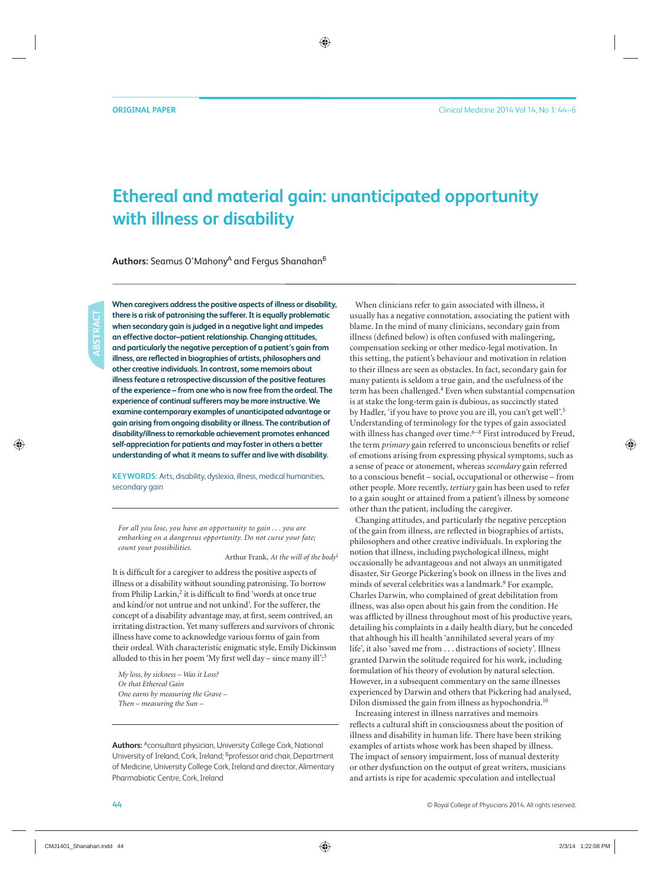## **Ethereal and material gain: unanticipated opportunity with illness or disability**

Authors: Seamus O'Mahony<sup>A</sup> and Fergus Shanahan<sup>B</sup>

**When caregivers address the positive aspects of illness or disability, there is a risk of patronising the sufferer. It is equally problematic when secondary gain is judged in a negative light and impedes an effective doctor–patient relationship. Changing attitudes, and particularly the negative perception of a patient's gain from**  illness, are reflected in biographies of artists, philosophers and **other creative individuals. In contrast, some memoirs about illness feature a retrospective discussion of the positive features of the experience – from one who is now free from the ordeal. The experience of continual sufferers may be more instructive. We examine contemporary examples of unanticipated advantage or gain arising from ongoing disability or illness. The contribution of disability/illness to remarkable achievement promotes enhanced self-appreciation for patients and may foster in others a better understanding of what it means to suffer and live with disability.**

**KEYWORDS:** Arts, disability, dyslexia, illness, medical humanities, secondary gain

*For all you lose, you have an opportunity to gain . . . you are embarking on a dangerous opportunity. Do not curse your fate; count your possibilities.*

Arthur Frank, *At the will of the body*<sup>1</sup>

It is difficult for a caregiver to address the positive aspects of illness or a disability without sounding patronising. To borrow from Philip Larkin,<sup>2</sup> it is difficult to find 'words at once true and kind/or not untrue and not unkind'. For the sufferer, the concept of a disability advantage may, at first, seem contrived, an irritating distraction. Yet many sufferers and survivors of chronic illness have come to acknowledge various forms of gain from their ordeal. With characteristic enigmatic style, Emily Dickinson alluded to this in her poem 'My first well day – since many ill':<sup>3</sup>

*My loss, by sickness – Was it Loss? Or that Ethereal Gain One earns by measuring the Grave – Then – measuring the Sun –*

**Authors: Aconsultant physician, University College Cork, National** University of Ireland, Cork, Ireland; <sup>B</sup>professor and chair, Department of Medicine, University College Cork, Ireland and director, Alimentary Pharmabiotic Centre, Cork, Ireland

When clinicians refer to gain associated with illness, it usually has a negative connotation, associating the patient with blame. In the mind of many clinicians, secondary gain from illness (defined below) is often confused with malingering, compensation seeking or other medico-legal motivation. In this setting, the patient's behaviour and motivation in relation to their illness are seen as obstacles. In fact, secondary gain for many patients is seldom a true gain, and the usefulness of the term has been challenged.<sup>4</sup> Even when substantial compensation is at stake the long-term gain is dubious, as succinctly stated by Hadler, 'if you have to prove you are ill, you can't get well'.<sup>5</sup> Understanding of terminology for the types of gain associated with illness has changed over time.<sup>6-8</sup> First introduced by Freud, the term *primary* gain referred to unconscious benefits or relief of emotions arising from expressing physical symptoms, such as a sense of peace or atonement, whereas *secondary* gain referred to a conscious benefit – social, occupational or otherwise – from other people. More recently, *tertiary* gain has been used to refer to a gain sought or attained from a patient's illness by someone other than the patient, including the caregiver.

Changing attitudes, and particularly the negative perception of the gain from illness, are reflected in biographies of artists, philosophers and other creative individuals. In exploring the notion that illness, including psychological illness, might occasionally be advantageous and not always an unmitigated disaster, Sir George Pickering's book on illness in the lives and minds of several celebrities was a landmark.<sup>9</sup> For example, Charles Darwin, who complained of great debilitation from illness, was also open about his gain from the condition. He was afflicted by illness throughout most of his productive years, detailing his complaints in a daily health diary, but he conceded that although his ill health 'annihilated several years of my life', it also 'saved me from . . . distractions of society'. Illness granted Darwin the solitude required for his work, including formulation of his theory of evolution by natural selection. However, in a subsequent commentary on the same illnesses experienced by Darwin and others that Pickering had analysed, Dilon dismissed the gain from illness as hypochondria.10

Increasing interest in illness narratives and memoirs reflects a cultural shift in consciousness about the position of illness and disability in human life. There have been striking examples of artists whose work has been shaped by illness. The impact of sensory impairment, loss of manual dexterity or other dysfunction on the output of great writers, musicians and artists is ripe for academic speculation and intellectual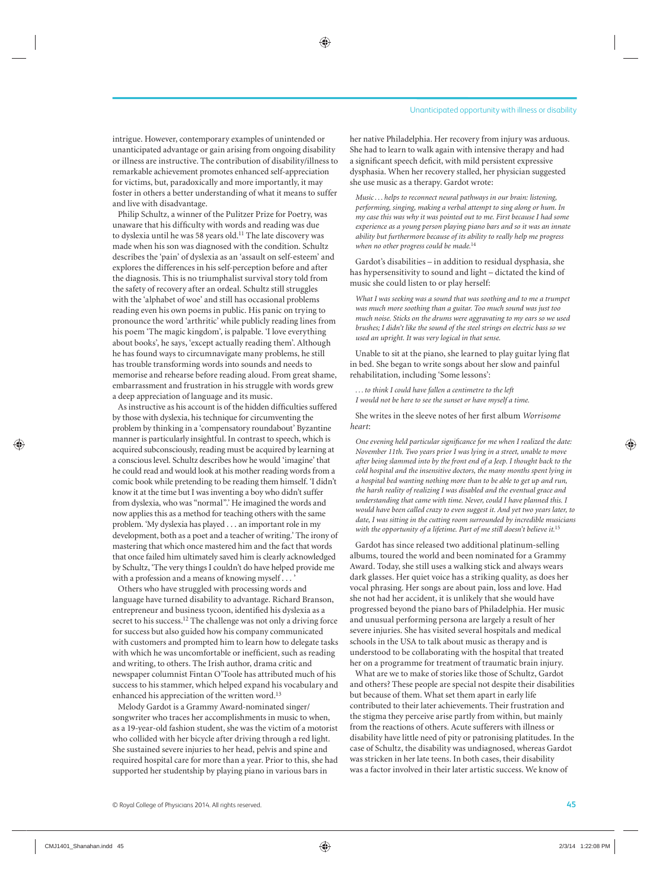intrigue. However, contemporary examples of unintended or unanticipated advantage or gain arising from ongoing disability or illness are instructive. The contribution of disability/illness to remarkable achievement promotes enhanced self-appreciation for victims, but, paradoxically and more importantly, it may foster in others a better understanding of what it means to suffer and live with disadvantage.

Philip Schultz, a winner of the Pulitzer Prize for Poetry, was unaware that his difficulty with words and reading was due to dyslexia until he was 58 years old.<sup>11</sup> The late discovery was made when his son was diagnosed with the condition. Schultz describes the 'pain' of dyslexia as an 'assault on self-esteem' and explores the differences in his self-perception before and after the diagnosis. This is no triumphalist survival story told from the safety of recovery after an ordeal. Schultz still struggles with the 'alphabet of woe' and still has occasional problems reading even his own poems in public. His panic on trying to pronounce the word 'arthritic' while publicly reading lines from his poem 'The magic kingdom', is palpable. 'I love everything about books', he says, 'except actually reading them'. Although he has found ways to circumnavigate many problems, he still has trouble transforming words into sounds and needs to memorise and rehearse before reading aloud. From great shame, embarrassment and frustration in his struggle with words grew a deep appreciation of language and its music.

As instructive as his account is of the hidden difficulties suffered by those with dyslexia, his technique for circumventing the problem by thinking in a 'compensatory roundabout' Byzantine manner is particularly insightful. In contrast to speech, which is acquired subconsciously, reading must be acquired by learning at a conscious level. Schultz describes how he would 'imagine' that he could read and would look at his mother reading words from a comic book while pretending to be reading them himself. 'I didn't know it at the time but I was inventing a boy who didn't suffer from dyslexia, who was "normal".' He imagined the words and now applies this as a method for teaching others with the same problem. 'My dyslexia has played . . . an important role in my development, both as a poet and a teacher of writing.' The irony of mastering that which once mastered him and the fact that words that once failed him ultimately saved him is clearly acknowledged by Schultz, 'The very things I couldn't do have helped provide me with a profession and a means of knowing myself . . . '

Others who have struggled with processing words and language have turned disability to advantage. Richard Branson, entrepreneur and business tycoon, identified his dyslexia as a secret to his success.<sup>12</sup> The challenge was not only a driving force for success but also guided how his company communicated with customers and prompted him to learn how to delegate tasks with which he was uncomfortable or inefficient, such as reading and writing, to others. The Irish author, drama critic and newspaper columnist Fintan O'Toole has attributed much of his success to his stammer, which helped expand his vocabulary and enhanced his appreciation of the written word.13

Melody Gardot is a Grammy Award-nominated singer/ songwriter who traces her accomplishments in music to when, as a 19-year-old fashion student, she was the victim of a motorist who collided with her bicycle after driving through a red light. She sustained severe injuries to her head, pelvis and spine and required hospital care for more than a year. Prior to this, she had supported her studentship by playing piano in various bars in

her native Philadelphia. Her recovery from injury was arduous. She had to learn to walk again with intensive therapy and had a significant speech deficit, with mild persistent expressive dysphasia. When her recovery stalled, her physician suggested she use music as a therapy. Gardot wrote:

*Music . . . helps to reconnect neural pathways in our brain: listening, performing, singing, making a verbal attempt to sing along or hum. In my case this was why it was pointed out to me. First because I had some experience as a young person playing piano bars and so it was an innate ability but furthermore because of its ability to really help me progress when no other progress could be made.*<sup>14</sup>

Gardot's disabilities – in addition to residual dysphasia, she has hypersensitivity to sound and light – dictated the kind of music she could listen to or play herself:

*What I was seeking was a sound that was soothing and to me a trumpet was much more soothing than a guitar. Too much sound was just too much noise. Sticks on the drums were aggravating to my ears so we used brushes; I didn't like the sound of the steel strings on electric bass so we used an upright. It was very logical in that sense.* 

Unable to sit at the piano, she learned to play guitar lying flat in bed. She began to write songs about her slow and painful rehabilitation, including 'Some lessons':

*. . . to think I could have fallen a centimetre to the left I would not be here to see the sunset or have myself a time.*

She writes in the sleeve notes of her first album *Worrisome heart*:

One evening held particular significance for me when I realized the date: *November 11th. Two years prior I was lying in a street, unable to move after being slammed into by the front end of a Jeep. I thought back to the cold hospital and the insensitive doctors, the many months spent lying in a hospital bed wanting nothing more than to be able to get up and run, the harsh reality of realizing I was disabled and the eventual grace and understanding that came with time. Never, could I have planned this. I would have been called crazy to even suggest it. And yet two years later, to date, I was sitting in the cutting room surrounded by incredible musicians with the opportunity of a lifetime. Part of me still doesn't believe it.*<sup>15</sup>

Gardot has since released two additional platinum-selling albums, toured the world and been nominated for a Grammy Award. Today, she still uses a walking stick and always wears dark glasses. Her quiet voice has a striking quality, as does her vocal phrasing. Her songs are about pain, loss and love. Had she not had her accident, it is unlikely that she would have progressed beyond the piano bars of Philadelphia. Her music and unusual performing persona are largely a result of her severe injuries. She has visited several hospitals and medical schools in the USA to talk about music as therapy and is understood to be collaborating with the hospital that treated her on a programme for treatment of traumatic brain injury.

What are we to make of stories like those of Schultz, Gardot and others? These people are special not despite their disabilities but because of them. What set them apart in early life contributed to their later achievements. Their frustration and the stigma they perceive arise partly from within, but mainly from the reactions of others. Acute sufferers with illness or disability have little need of pity or patronising platitudes. In the case of Schultz, the disability was undiagnosed, whereas Gardot was stricken in her late teens. In both cases, their disability was a factor involved in their later artistic success. We know of